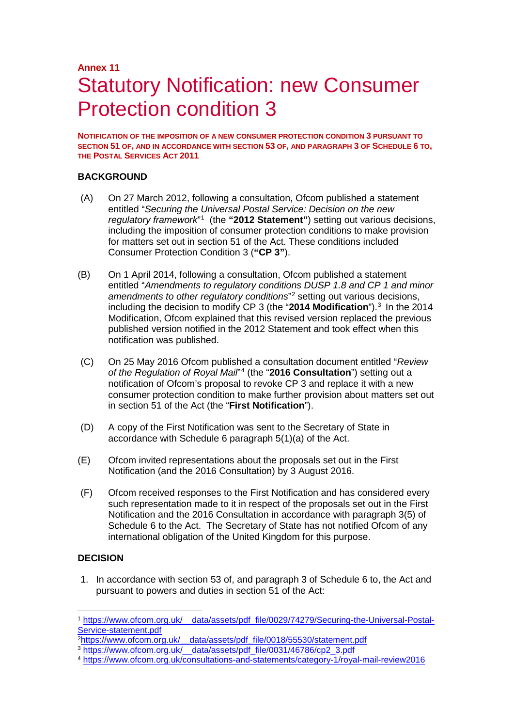# **Annex 11** Statutory Notification: new Consumer Protection condition 3

**NOTIFICATION OF THE IMPOSITION OF A NEW CONSUMER PROTECTION CONDITION 3 PURSUANT TO SECTION 51 OF, AND IN ACCORDANCE WITH SECTION 53 OF, AND PARAGRAPH 3 OF SCHEDULE 6 TO, THE POSTAL SERVICES ACT 2011**

# **BACKGROUND**

- (A) On 27 March 2012, following a consultation, Ofcom published a statement entitled "*Securing the Universal Postal Service: Decision on the new*  regulatory framework<sup>"[1](#page-0-0)</sup> (the "2012 Statement") setting out various decisions, including the imposition of consumer protection conditions to make provision for matters set out in section 51 of the Act. These conditions included Consumer Protection Condition 3 (**"CP 3"**).
- (B) On 1 April 2014, following a consultation, Ofcom published a statement entitled "*Amendments to regulatory conditions DUSP 1.8 and CP 1 and minor amendments to other regulatory conditions*"[2](#page-0-1) setting out various decisions, including the decision to modify CP [3](#page-0-2) (the "2014 Modification").<sup>3</sup> In the 2014 Modification, Ofcom explained that this revised version replaced the previous published version notified in the 2012 Statement and took effect when this notification was published.
- (C) On 25 May 2016 Ofcom published a consultation document entitled "*Review of the Regulation of Royal Mail*"[4](#page-0-3) (the "**2016 Consultation**") setting out a notification of Ofcom's proposal to revoke CP 3 and replace it with a new consumer protection condition to make further provision about matters set out in section 51 of the Act (the "**First Notification**").
- (D) A copy of the First Notification was sent to the Secretary of State in accordance with Schedule 6 paragraph 5(1)(a) of the Act.
- (E) Ofcom invited representations about the proposals set out in the First Notification (and the 2016 Consultation) by 3 August 2016.
- (F) Ofcom received responses to the First Notification and has considered every such representation made to it in respect of the proposals set out in the First Notification and the 2016 Consultation in accordance with paragraph 3(5) of Schedule 6 to the Act. The Secretary of State has not notified Ofcom of any international obligation of the United Kingdom for this purpose.

# **DECISION**

1. In accordance with section 53 of, and paragraph 3 of Schedule 6 to, the Act and pursuant to powers and duties in section 51 of the Act:

<span id="page-0-0"></span> <sup>1</sup> [https://www.ofcom.org.uk/\\_\\_data/assets/pdf\\_file/0029/74279/Securing-the-Universal-Postal-](https://www.ofcom.org.uk/__data/assets/pdf_file/0029/74279/Securing-the-Universal-Postal-Service-statement.pdf)[Service-statement.pdf](https://www.ofcom.org.uk/__data/assets/pdf_file/0029/74279/Securing-the-Universal-Postal-Service-statement.pdf)<br>
<sup>2</sup>https://www.ofcom.org.uk/ data/assets/pdf file/0018/55530/statement.pdf

<span id="page-0-2"></span><span id="page-0-1"></span><sup>&</sup>lt;sup>3</sup>[https://www.ofcom.org.uk/\\_\\_data/assets/pdf\\_file/0031/46786/cp2\\_3.pdf](https://www.ofcom.org.uk/__data/assets/pdf_file/0031/46786/cp2_3.pdf)

<span id="page-0-3"></span><sup>4</sup> <https://www.ofcom.org.uk/consultations-and-statements/category-1/royal-mail-review2016>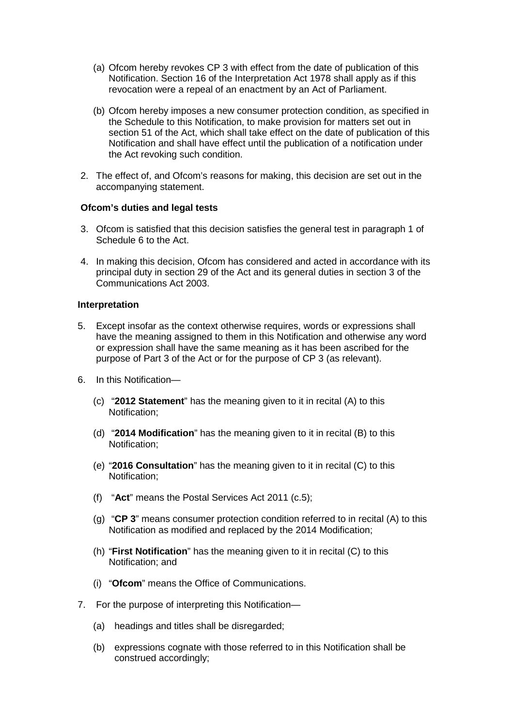- (a) Ofcom hereby revokes CP 3 with effect from the date of publication of this Notification. Section 16 of the Interpretation Act 1978 shall apply as if this revocation were a repeal of an enactment by an Act of Parliament.
- (b) Ofcom hereby imposes a new consumer protection condition, as specified in the Schedule to this Notification, to make provision for matters set out in section 51 of the Act, which shall take effect on the date of publication of this Notification and shall have effect until the publication of a notification under the Act revoking such condition.
- 2. The effect of, and Ofcom's reasons for making, this decision are set out in the accompanying statement.

#### **Ofcom's duties and legal tests**

- 3. Ofcom is satisfied that this decision satisfies the general test in paragraph 1 of Schedule 6 to the Act.
- 4. In making this decision, Ofcom has considered and acted in accordance with its principal duty in section 29 of the Act and its general duties in section 3 of the Communications Act 2003.

#### **Interpretation**

- 5. Except insofar as the context otherwise requires, words or expressions shall have the meaning assigned to them in this Notification and otherwise any word or expression shall have the same meaning as it has been ascribed for the purpose of Part 3 of the Act or for the purpose of CP 3 (as relevant).
- 6. In this Notification—
	- (c) "**2012 Statement**" has the meaning given to it in recital (A) to this Notification;
	- (d) "**2014 Modification**" has the meaning given to it in recital (B) to this Notification;
	- (e) "**2016 Consultation**" has the meaning given to it in recital (C) to this Notification;
	- (f) "**Act**" means the Postal Services Act 2011 (c.5);
	- (g) "**CP 3**" means consumer protection condition referred to in recital (A) to this Notification as modified and replaced by the 2014 Modification;
	- (h) "**First Notification**" has the meaning given to it in recital (C) to this Notification; and
	- (i) "**Ofcom**" means the Office of Communications.
- 7. For the purpose of interpreting this Notification—
	- (a) headings and titles shall be disregarded;
	- (b) expressions cognate with those referred to in this Notification shall be construed accordingly;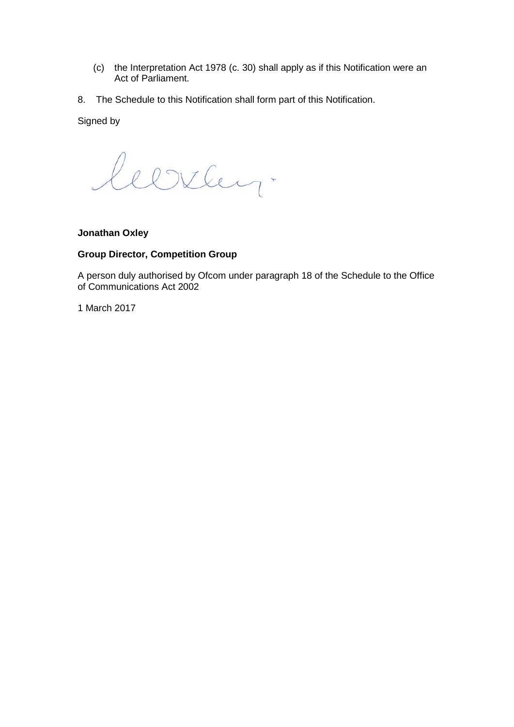- (c) the Interpretation Act 1978 (c. 30) shall apply as if this Notification were an Act of Parliament.
- 8. The Schedule to this Notification shall form part of this Notification.

Signed by

leerley.

# **Jonathan Oxley**

# **Group Director, Competition Group**

A person duly authorised by Ofcom under paragraph 18 of the Schedule to the Office of Communications Act 2002

1 March 2017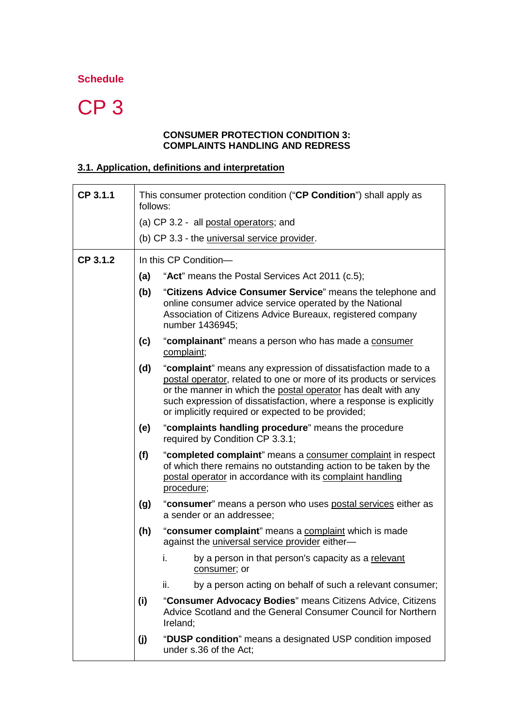# **Schedule**

# CP 3

#### **CONSUMER PROTECTION CONDITION 3: COMPLAINTS HANDLING AND REDRESS**

# **3.1. Application, definitions and interpretation**

| CP 3.1.1 | This consumer protection condition ("CP Condition") shall apply as<br>follows: |                                                                                                                                                                                                                                                                                                                                   |  |
|----------|--------------------------------------------------------------------------------|-----------------------------------------------------------------------------------------------------------------------------------------------------------------------------------------------------------------------------------------------------------------------------------------------------------------------------------|--|
|          | (a) CP 3.2 - all postal operators; and                                         |                                                                                                                                                                                                                                                                                                                                   |  |
|          | (b) CP 3.3 - the universal service provider.                                   |                                                                                                                                                                                                                                                                                                                                   |  |
| CP 3.1.2 | In this CP Condition-                                                          |                                                                                                                                                                                                                                                                                                                                   |  |
|          | (a)                                                                            | "Act" means the Postal Services Act 2011 (c.5);                                                                                                                                                                                                                                                                                   |  |
|          | (b)                                                                            | "Citizens Advice Consumer Service" means the telephone and<br>online consumer advice service operated by the National<br>Association of Citizens Advice Bureaux, registered company<br>number 1436945;                                                                                                                            |  |
|          | (c)                                                                            | "complainant" means a person who has made a consumer<br>complaint;                                                                                                                                                                                                                                                                |  |
|          | (d)                                                                            | "complaint" means any expression of dissatisfaction made to a<br>postal operator, related to one or more of its products or services<br>or the manner in which the postal operator has dealt with any<br>such expression of dissatisfaction, where a response is explicitly<br>or implicitly required or expected to be provided; |  |
|          | (e)                                                                            | "complaints handling procedure" means the procedure<br>required by Condition CP 3.3.1;                                                                                                                                                                                                                                            |  |
|          | (f)                                                                            | "completed complaint" means a consumer complaint in respect<br>of which there remains no outstanding action to be taken by the<br>postal operator in accordance with its complaint handling<br>procedure;                                                                                                                         |  |
|          | (g)                                                                            | "consumer" means a person who uses postal services either as<br>a sender or an addressee;                                                                                                                                                                                                                                         |  |
|          | (h)                                                                            | "consumer complaint" means a complaint which is made<br>against the <i>universal service</i> provider either-                                                                                                                                                                                                                     |  |
|          |                                                                                | by a person in that person's capacity as a relevant<br>İ.<br>consumer; or                                                                                                                                                                                                                                                         |  |
|          |                                                                                | by a person acting on behalf of such a relevant consumer;<br>ii.                                                                                                                                                                                                                                                                  |  |
|          | (i)                                                                            | "Consumer Advocacy Bodies" means Citizens Advice, Citizens<br>Advice Scotland and the General Consumer Council for Northern<br>Ireland;                                                                                                                                                                                           |  |
|          | (j)                                                                            | "DUSP condition" means a designated USP condition imposed<br>under s.36 of the Act;                                                                                                                                                                                                                                               |  |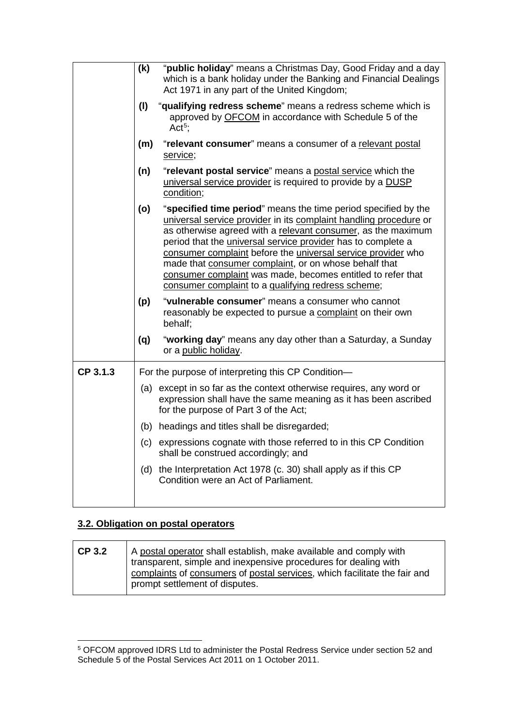|          | (k)                                                                                                                                              | "public holiday" means a Christmas Day, Good Friday and a day<br>which is a bank holiday under the Banking and Financial Dealings<br>Act 1971 in any part of the United Kingdom;                                                                                                                                                                                                                                                                                                                                  |
|----------|--------------------------------------------------------------------------------------------------------------------------------------------------|-------------------------------------------------------------------------------------------------------------------------------------------------------------------------------------------------------------------------------------------------------------------------------------------------------------------------------------------------------------------------------------------------------------------------------------------------------------------------------------------------------------------|
|          | (1)<br>"qualifying redress scheme" means a redress scheme which is<br>approved by OFCOM in accordance with Schedule 5 of the<br>Act <sup>5</sup> |                                                                                                                                                                                                                                                                                                                                                                                                                                                                                                                   |
|          | "relevant consumer" means a consumer of a relevant postal<br>(m)<br>service;                                                                     |                                                                                                                                                                                                                                                                                                                                                                                                                                                                                                                   |
|          | "relevant postal service" means a postal service which the<br>(n)<br>universal service provider is required to provide by a DUSP<br>condition;   |                                                                                                                                                                                                                                                                                                                                                                                                                                                                                                                   |
|          | (o)                                                                                                                                              | "specified time period" means the time period specified by the<br>universal service provider in its complaint handling procedure or<br>as otherwise agreed with a relevant consumer, as the maximum<br>period that the universal service provider has to complete a<br>consumer complaint before the universal service provider who<br>made that consumer complaint, or on whose behalf that<br>consumer complaint was made, becomes entitled to refer that<br>consumer complaint to a qualifying redress scheme; |
|          | (p)                                                                                                                                              | "vulnerable consumer" means a consumer who cannot<br>reasonably be expected to pursue a complaint on their own<br>behalf;                                                                                                                                                                                                                                                                                                                                                                                         |
|          | (q)                                                                                                                                              | "working day" means any day other than a Saturday, a Sunday<br>or a public holiday.                                                                                                                                                                                                                                                                                                                                                                                                                               |
| CP 3.1.3 |                                                                                                                                                  | For the purpose of interpreting this CP Condition-                                                                                                                                                                                                                                                                                                                                                                                                                                                                |
|          |                                                                                                                                                  | (a) except in so far as the context otherwise requires, any word or<br>expression shall have the same meaning as it has been ascribed<br>for the purpose of Part 3 of the Act;                                                                                                                                                                                                                                                                                                                                    |
|          |                                                                                                                                                  | (b) headings and titles shall be disregarded;                                                                                                                                                                                                                                                                                                                                                                                                                                                                     |
|          |                                                                                                                                                  | (c) expressions cognate with those referred to in this CP Condition<br>shall be construed accordingly; and                                                                                                                                                                                                                                                                                                                                                                                                        |
|          |                                                                                                                                                  | (d) the Interpretation Act 1978 (c. 30) shall apply as if this CP<br>Condition were an Act of Parliament.                                                                                                                                                                                                                                                                                                                                                                                                         |

# **3.2. Obligation on postal operators**

| <b>CP 3.2</b> | A postal operator shall establish, make available and comply with<br>transparent, simple and inexpensive procedures for dealing with<br>complaints of consumers of postal services, which facilitate the fair and |
|---------------|-------------------------------------------------------------------------------------------------------------------------------------------------------------------------------------------------------------------|
|               | prompt settlement of disputes.                                                                                                                                                                                    |

<span id="page-4-0"></span> <sup>5</sup> OFCOM approved IDRS Ltd to administer the Postal Redress Service under section 52 and Schedule 5 of the Postal Services Act 2011 on 1 October 2011.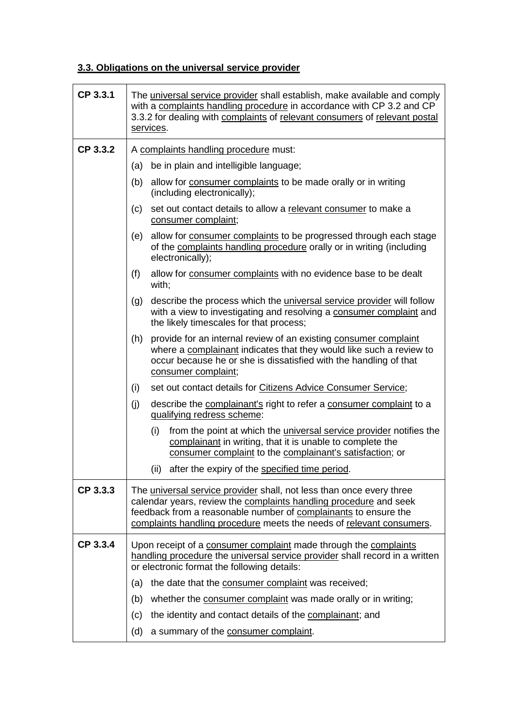# **3.3. Obligations on the universal service provider**

| CP 3.3.1 | The universal service provider shall establish, make available and comply<br>with a complaints handling procedure in accordance with CP 3.2 and CP<br>3.3.2 for dealing with complaints of relevant consumers of relevant postal<br>services.                                        |  |  |
|----------|--------------------------------------------------------------------------------------------------------------------------------------------------------------------------------------------------------------------------------------------------------------------------------------|--|--|
| CP 3.3.2 | A complaints handling procedure must:                                                                                                                                                                                                                                                |  |  |
|          | (a) be in plain and intelligible language;                                                                                                                                                                                                                                           |  |  |
|          | allow for consumer complaints to be made orally or in writing<br>(b)<br>(including electronically);                                                                                                                                                                                  |  |  |
|          | set out contact details to allow a relevant consumer to make a<br>(c)<br>consumer complaint;                                                                                                                                                                                         |  |  |
|          | allow for consumer complaints to be progressed through each stage<br>(e)<br>of the complaints handling procedure orally or in writing (including<br>electronically);                                                                                                                 |  |  |
|          | allow for consumer complaints with no evidence base to be dealt<br>(f)<br>with;                                                                                                                                                                                                      |  |  |
|          | describe the process which the <i>universal service provider</i> will follow<br>(g)<br>with a view to investigating and resolving a consumer complaint and<br>the likely timescales for that process;                                                                                |  |  |
|          | provide for an internal review of an existing consumer complaint<br>(h)<br>where a complainant indicates that they would like such a review to<br>occur because he or she is dissatisfied with the handling of that<br>consumer complaint;                                           |  |  |
|          | set out contact details for Citizens Advice Consumer Service;<br>(i)                                                                                                                                                                                                                 |  |  |
|          | (j)<br>describe the complainant's right to refer a consumer complaint to a<br>qualifying redress scheme:                                                                                                                                                                             |  |  |
|          | (i)<br>from the point at which the <i>universal service provider</i> notifies the<br>complainant in writing, that it is unable to complete the<br>consumer complaint to the complainant's satisfaction; or                                                                           |  |  |
|          | (ii) after the expiry of the specified time period.                                                                                                                                                                                                                                  |  |  |
| CP 3.3.3 | The universal service provider shall, not less than once every three<br>calendar years, review the complaints handling procedure and seek<br>feedback from a reasonable number of complainants to ensure the<br>complaints handling procedure meets the needs of relevant consumers. |  |  |
| CP 3.3.4 | Upon receipt of a consumer complaint made through the complaints<br>handling procedure the universal service provider shall record in a written<br>or electronic format the following details:                                                                                       |  |  |
|          | the date that the consumer complaint was received;<br>(a)                                                                                                                                                                                                                            |  |  |
|          | (b)<br>whether the consumer complaint was made orally or in writing;                                                                                                                                                                                                                 |  |  |
|          | the identity and contact details of the complainant; and<br>(c)                                                                                                                                                                                                                      |  |  |
|          | a summary of the consumer complaint.<br>(d)                                                                                                                                                                                                                                          |  |  |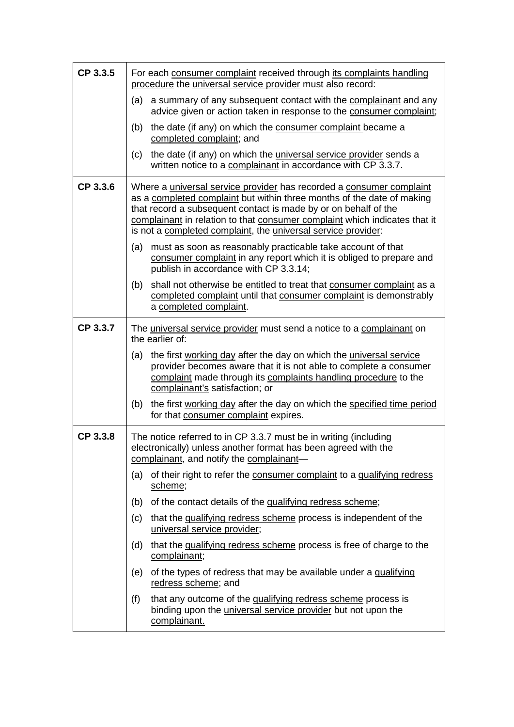| CP 3.3.5 | For each consumer complaint received through its complaints handling<br>procedure the universal service provider must also record:                                                                                                                                                                                                                               |  |
|----------|------------------------------------------------------------------------------------------------------------------------------------------------------------------------------------------------------------------------------------------------------------------------------------------------------------------------------------------------------------------|--|
|          | a summary of any subsequent contact with the complainant and any<br>(a)<br>advice given or action taken in response to the consumer complaint;                                                                                                                                                                                                                   |  |
|          | the date (if any) on which the consumer complaint became a<br>(b)<br>completed complaint; and                                                                                                                                                                                                                                                                    |  |
|          | the date (if any) on which the <i>universal service provider</i> sends a<br>(c)<br>written notice to a complainant in accordance with CP 3.3.7.                                                                                                                                                                                                                  |  |
| CP 3.3.6 | Where a universal service provider has recorded a consumer complaint<br>as a completed complaint but within three months of the date of making<br>that record a subsequent contact is made by or on behalf of the<br>complainant in relation to that consumer complaint which indicates that it<br>is not a completed complaint, the universal service provider: |  |
|          | (a) must as soon as reasonably practicable take account of that<br>consumer complaint in any report which it is obliged to prepare and<br>publish in accordance with CP 3.3.14;                                                                                                                                                                                  |  |
|          | shall not otherwise be entitled to treat that consumer complaint as a<br>(b)<br>completed complaint until that consumer complaint is demonstrably<br>a completed complaint.                                                                                                                                                                                      |  |
| CP 3.3.7 | The universal service provider must send a notice to a complainant on<br>the earlier of:                                                                                                                                                                                                                                                                         |  |
|          | the first working day after the day on which the universal service<br>(a)<br>provider becomes aware that it is not able to complete a consumer<br>complaint made through its complaints handling procedure to the<br>complainant's satisfaction; or                                                                                                              |  |
|          | the first working day after the day on which the specified time period<br>(b)<br>for that consumer complaint expires.                                                                                                                                                                                                                                            |  |
| CP 3.3.8 | The notice referred to in CP 3.3.7 must be in writing (including<br>electronically) unless another format has been agreed with the<br>complainant, and notify the complainant-                                                                                                                                                                                   |  |
|          | (a) of their right to refer the consumer complaint to a qualifying redress<br>scheme;                                                                                                                                                                                                                                                                            |  |
|          | of the contact details of the qualifying redress scheme;<br>(b)                                                                                                                                                                                                                                                                                                  |  |
|          | that the qualifying redress scheme process is independent of the<br>(c)<br>universal service provider;                                                                                                                                                                                                                                                           |  |
|          | that the qualifying redress scheme process is free of charge to the<br>(d)<br>complainant;                                                                                                                                                                                                                                                                       |  |
|          | of the types of redress that may be available under a qualifying<br>(e)<br>redress scheme; and                                                                                                                                                                                                                                                                   |  |
|          | that any outcome of the qualifying redress scheme process is<br>(f)<br>binding upon the <i>universal service provider</i> but not upon the<br>complainant.                                                                                                                                                                                                       |  |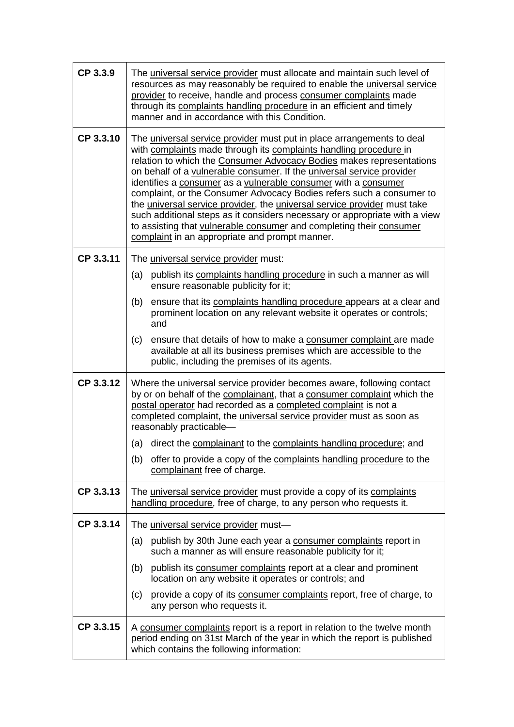| CP 3.3.9  | The universal service provider must allocate and maintain such level of<br>resources as may reasonably be required to enable the <i>universal service</i><br>provider to receive, handle and process consumer complaints made<br>through its complaints handling procedure in an efficient and timely<br>manner and in accordance with this Condition.                                                                                                                                                                                                                                                                                                                                                                   |  |  |
|-----------|--------------------------------------------------------------------------------------------------------------------------------------------------------------------------------------------------------------------------------------------------------------------------------------------------------------------------------------------------------------------------------------------------------------------------------------------------------------------------------------------------------------------------------------------------------------------------------------------------------------------------------------------------------------------------------------------------------------------------|--|--|
| CP 3.3.10 | The universal service provider must put in place arrangements to deal<br>with complaints made through its complaints handling procedure in<br>relation to which the Consumer Advocacy Bodies makes representations<br>on behalf of a vulnerable consumer. If the universal service provider<br>identifies a consumer as a vulnerable consumer with a consumer<br>complaint, or the Consumer Advocacy Bodies refers such a consumer to<br>the universal service provider, the universal service provider must take<br>such additional steps as it considers necessary or appropriate with a view<br>to assisting that vulnerable consumer and completing their consumer<br>complaint in an appropriate and prompt manner. |  |  |
| CP 3.3.11 | The universal service provider must:                                                                                                                                                                                                                                                                                                                                                                                                                                                                                                                                                                                                                                                                                     |  |  |
|           | (a) publish its complaints handling procedure in such a manner as will<br>ensure reasonable publicity for it;                                                                                                                                                                                                                                                                                                                                                                                                                                                                                                                                                                                                            |  |  |
|           | (b)<br>ensure that its complaints handling procedure appears at a clear and<br>prominent location on any relevant website it operates or controls;<br>and                                                                                                                                                                                                                                                                                                                                                                                                                                                                                                                                                                |  |  |
|           | ensure that details of how to make a consumer complaint are made<br>(c)<br>available at all its business premises which are accessible to the<br>public, including the premises of its agents.                                                                                                                                                                                                                                                                                                                                                                                                                                                                                                                           |  |  |
| CP 3.3.12 | Where the universal service provider becomes aware, following contact<br>by or on behalf of the complainant, that a consumer complaint which the<br>postal operator had recorded as a completed complaint is not a<br>completed complaint, the universal service provider must as soon as<br>reasonably practicable-                                                                                                                                                                                                                                                                                                                                                                                                     |  |  |
|           | direct the complainant to the complaints handling procedure; and<br>(a)                                                                                                                                                                                                                                                                                                                                                                                                                                                                                                                                                                                                                                                  |  |  |
|           | (b) offer to provide a copy of the complaints handling procedure to the<br>complainant free of charge.                                                                                                                                                                                                                                                                                                                                                                                                                                                                                                                                                                                                                   |  |  |
| CP 3.3.13 | The universal service provider must provide a copy of its complaints<br>handling procedure, free of charge, to any person who requests it.                                                                                                                                                                                                                                                                                                                                                                                                                                                                                                                                                                               |  |  |
| CP 3.3.14 | The universal service provider must-                                                                                                                                                                                                                                                                                                                                                                                                                                                                                                                                                                                                                                                                                     |  |  |
|           | publish by 30th June each year a consumer complaints report in<br>(a)<br>such a manner as will ensure reasonable publicity for it;                                                                                                                                                                                                                                                                                                                                                                                                                                                                                                                                                                                       |  |  |
|           | publish its consumer complaints report at a clear and prominent<br>(b)<br>location on any website it operates or controls; and                                                                                                                                                                                                                                                                                                                                                                                                                                                                                                                                                                                           |  |  |
|           | provide a copy of its consumer complaints report, free of charge, to<br>(c)<br>any person who requests it.                                                                                                                                                                                                                                                                                                                                                                                                                                                                                                                                                                                                               |  |  |
| CP 3.3.15 | A consumer complaints report is a report in relation to the twelve month<br>period ending on 31st March of the year in which the report is published<br>which contains the following information:                                                                                                                                                                                                                                                                                                                                                                                                                                                                                                                        |  |  |